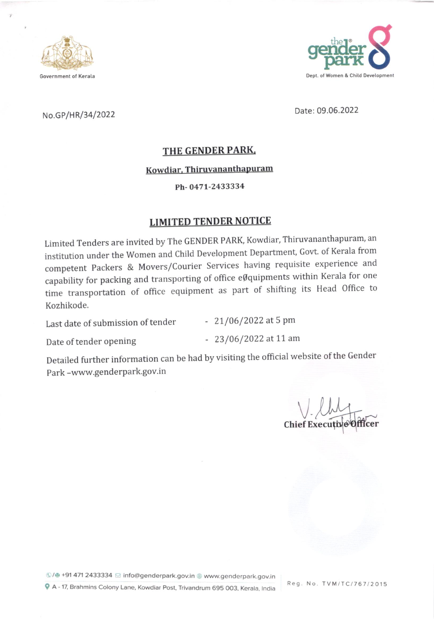



# No.GP/HR/34/2022 Date: 09.06.2022

## THE GENDER PARK.

### Kowdiar. Thiruvananthapuram

### Ph-0471-2433334

## LIMITED TENDER NOTICE

Limited Tenders are invited by The GENDER PARK, Kowdiar, Thiruvananthapuram, an institution under the Women and Child Development Department, Govt. of Kerala from competent Packers & Movers/Courier Services having requisite experience and capability for packing and transporting of office eØquipments within Kerala for one time transportation of office equipment as part of shifting its Head Office to Kozhikode.

Last date of submission of tender - 21/06/2022 at 5 pm

Date of tender opening - 23/06/2022 at 11 am

Detailed further information can be had by visiting the official website of the Gender Park -www.genderpark.gov.in

Chief Execu V

©/ +91 471 2433334  $\,\boxdot$  info@genderpark.gov.in  $\,\circledast$  www.genderpark.gov.in  $\bigcirc$  A - 17, Brahmins Colony Lane, Kowdiar Post, Trivandrum 695 003, Kerala, India

Reg. No. TVM/TC/767/2015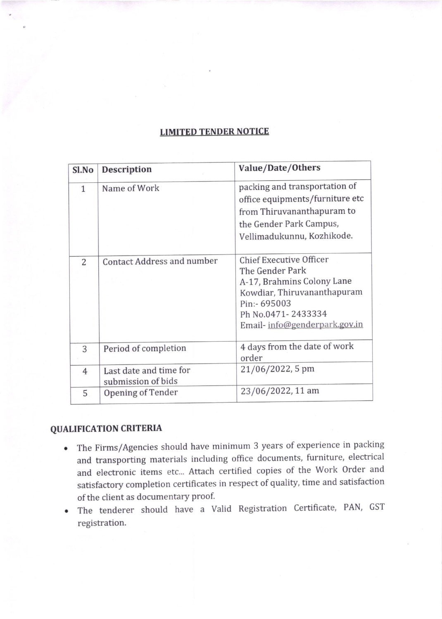## LIMITED TENDER NOTICE

| Sl.No          | <b>Description</b>                           | Value/Date/Others                                                                                                                                                                    |
|----------------|----------------------------------------------|--------------------------------------------------------------------------------------------------------------------------------------------------------------------------------------|
| $\mathbf{1}$   | Name of Work                                 | packing and transportation of<br>office equipments/furniture etc<br>from Thiruvananthapuram to<br>the Gender Park Campus,<br>Vellimadukunnu, Kozhikode.                              |
| $\overline{2}$ | Contact Address and number                   | <b>Chief Executive Officer</b><br>The Gender Park<br>A-17, Brahmins Colony Lane<br>Kowdiar, Thiruvananthapuram<br>Pin:- 695003<br>Ph No.0471-2433334<br>Email-info@genderpark.gov.in |
| 3              | Period of completion                         | 4 days from the date of work<br>order                                                                                                                                                |
| $\overline{4}$ | Last date and time for<br>submission of bids | 21/06/2022, 5 pm                                                                                                                                                                     |
| 5              | Opening of Tender                            | 23/06/2022, 11 am                                                                                                                                                                    |

## QUALIFICATION CRITERIA

- o The Firms/Agencies should have minimum 3 years of experience in packing and transporting materials including office documents, furniture, electrical and electronic items etc... Attach certified copies of the work order and satisfactory completion certificates in respect of quality, time and satisfaction of the client as documentary Proof.
- The tenderer should have a Valid Registration Certificate, PAN, GST registration.